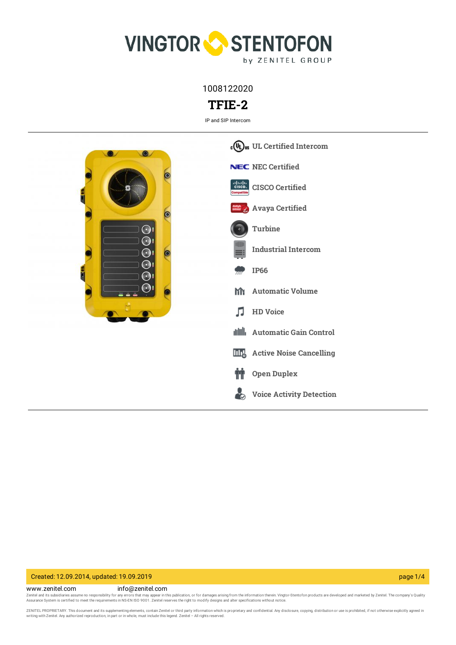

1008122020

# **TFIE-2**

IP and SIP Intercom



# Created: 12.09.2014, updated: 19.09.2019 page 1/4

www.zenitel.com info@zenitel.com Zenitel and its subsidiaries assume no responsibility for any errors that may appear in this publication, or for damages arising from the information therein. Vingtor-Stentofon products are developed and marketed by Zenite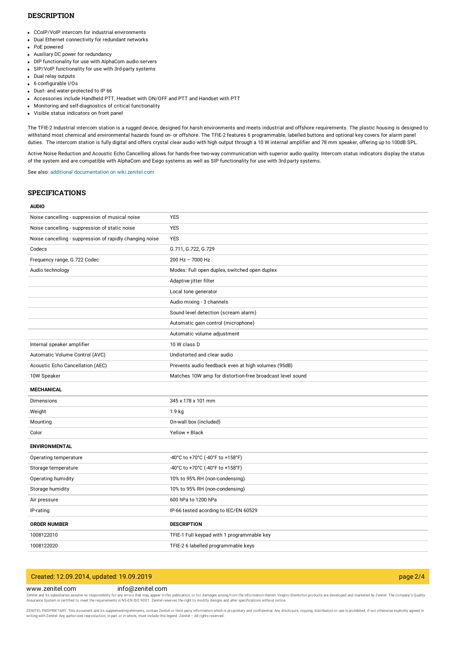### **DESCRIPTION**

- CCoIP/VoIP intercom for industrial environments
- Dual Ethernet connectivity for redundant networks
- PoE powered
- Auxiliary DC power for redundancy
- DIP functionality for use with AlphaCom audio servers
- SIP/VoIP functionality for use with 3rd-party systems
- Dual relay outputs
- 6 configurable I/Os
- Dust- and water-protected to IP 66
- Accessories include Handheld PTT, Headset with ON/OFF and PTT and Handset with PTT
- Monitoring and self-diagnostics of critical functionality
- Visible status indicators on front panel

The TFIE-2 Industrial intercom station is a rugged device, designed for harsh environments and meets industrial and offshore requirements. The plastic housing is designed to withstand most chemical and environmental hazards found on- or offshore. The TFIE-2 features 6 programmable, labelled buttons and optional key covers for alarm panel duties. The intercom station is fully digital and offers crystal clear audio with high output through a 10 W internal amplifier and 78 mm speaker, offering up to 100dB SPL.

Active Noise Reduction and Acoustic Echo Cancelling allows for hands-free two-way communication with superior audio quality. Intercom status indicators display the status of the system and are compatible with AlphaCom and Exigo systems as well as SIP functionality for use with 3rd party systems.

See also: additional documentation on [wiki.zenitel.com](https://wiki.zenitel.com/wiki/TFIE-2)

#### **SPECIFICATIONS**

#### **AUDIO**

| Noise cancelling - suppression of musical noise          | <b>YES</b>                                                |
|----------------------------------------------------------|-----------------------------------------------------------|
| Noise cancelling - suppression of static noise           | <b>YES</b>                                                |
| Noise cancelling - suppression of rapidly changing noise | <b>YES</b>                                                |
| Codecs                                                   | G.711, G.722, G.729                                       |
| Frequency range, G.722 Codec                             | 200 Hz - 7000 Hz                                          |
| Audio technology                                         | Modes: Full open duplex, switched open duplex             |
|                                                          | Adaptive jitter filter                                    |
|                                                          | Local tone generator                                      |
|                                                          | Audio mixing - 3 channels                                 |
|                                                          | Sound level detection (scream alarm)                      |
|                                                          | Automatic gain control (microphone)                       |
|                                                          | Automatic volume adjustment                               |
| Internal speaker amplifier                               | 10 W class D                                              |
| Automatic Volume Control (AVC)                           | Undistorted and clear audio                               |
| Acoustic Echo Cancellation (AEC)                         | Prevents audio feedback even at high volumes (95dB)       |
| 10W Speaker                                              | Matches 10W amp for distortion-free broadcast level sound |
|                                                          |                                                           |
| <b>MECHANICAL</b>                                        |                                                           |
| Dimensions                                               | 345 x 178 x 101 mm                                        |
| Weight                                                   | 1.9 kg                                                    |
| Mounting                                                 | On-wall box (included)                                    |
| Color                                                    | Yellow + Black                                            |
| <b>ENVIRONMENTAL</b>                                     |                                                           |
| Operating temperature                                    | -40°C to +70°C (-40°F to +158°F)                          |
| Storage temperature                                      | -40°C to +70°C (-40°F to +158°F)                          |
| Operating humidity                                       | 10% to 95% RH (non-condensing)                            |
| Storage humidity                                         | 10% to 95% RH (non-condensing)                            |
| Air pressure                                             | 600 hPa to 1200 hPa                                       |
| IP-rating                                                | IP-66 tested acording to IEC/EN 60529                     |
| <b>ORDER NUMBER</b>                                      | <b>DESCRIPTION</b>                                        |
| 1008122010                                               | TFIE-1 Full keypad with 1 programmable key                |
| 1008122020                                               | TFIE-2 6 labelled programmable keys                       |

# Created: 12.09.2014, updated: 19.09.2019 page 2/4

### www.zenitel.com info@zenitel.com

Zenitel and its subsidiaries assume no responsibility for any errors that may appear in this publication, or for damages arising from the information therein. Vingtor-Stentofon products are developed and marketed by Zenite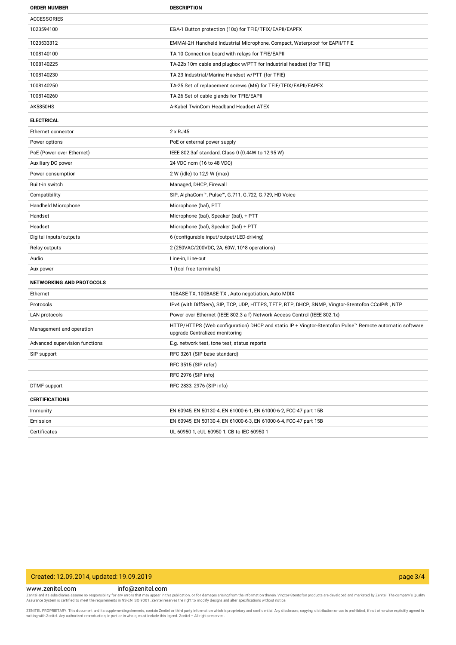| <b>ORDER NUMBER</b>             | <b>DESCRIPTION</b>                                                                                                                       |
|---------------------------------|------------------------------------------------------------------------------------------------------------------------------------------|
| <b>ACCESSORIES</b>              |                                                                                                                                          |
| 1023594100                      | EGA-1 Button protection (10x) for TFIE/TFIX/EAPII/EAPFX                                                                                  |
| 1023533312                      | EMMAI-2H Handheld Industrial Microphone, Compact, Waterproof for EAPII/TFIE                                                              |
| 1008140100                      | TA-10 Connection board with relays for TFIE/EAPII                                                                                        |
| 1008140225                      | TA-22b 10m cable and plugbox w/PTT for Industrial headset (for TFIE)                                                                     |
| 1008140230                      | TA-23 Industrial/Marine Handset w/PTT (for TFIE)                                                                                         |
| 1008140250                      | TA-25 Set of replacement screws (M6) for TFIE/TFIX/EAPII/EAPFX                                                                           |
| 1008140260                      | TA-26 Set of cable glands for TFIE/EAPII                                                                                                 |
| <b>AK5850HS</b>                 | A-Kabel TwinCom Headband Headset ATEX                                                                                                    |
| <b>ELECTRICAL</b>               |                                                                                                                                          |
| Ethernet connector              | 2 x RJ45                                                                                                                                 |
| Power options                   | PoE or external power supply                                                                                                             |
| PoE (Power over Ethernet)       | IEEE 802.3af standard, Class 0 (0.44W to 12.95 W)                                                                                        |
| Auxiliary DC power              | 24 VDC nom (16 to 48 VDC)                                                                                                                |
| Power consumption               | 2 W (idle) to 12,9 W (max)                                                                                                               |
| Built-in switch                 | Managed, DHCP, Firewall                                                                                                                  |
| Compatibility                   | SIP, AlphaCom™, Pulse™, G.711, G.722, G.729, HD Voice                                                                                    |
| Handheld Microphone             | Microphone (bal), PTT                                                                                                                    |
| Handset                         | Microphone (bal), Speaker (bal), + PTT                                                                                                   |
| Headset                         | Microphone (bal), Speaker (bal) + PTT                                                                                                    |
| Digital inputs/outputs          | 6 (configurable input/output/LED-driving)                                                                                                |
| Relay outputs                   | 2 (250VAC/200VDC, 2A, 60W, 10^8 operations)                                                                                              |
| Audio                           | Line-in, Line-out                                                                                                                        |
| Aux power                       | 1 (tool-free terminals)                                                                                                                  |
| <b>NETWORKING AND PROTOCOLS</b> |                                                                                                                                          |
| Ethernet                        | 10BASE-TX, 100BASE-TX, Auto negotiation, Auto MDIX                                                                                       |
| Protocols                       | IPv4 (with DiffServ), SIP, TCP, UDP, HTTPS, TFTP, RTP, DHCP, SNMP, Vingtor-Stentofon CCoIP® , NTP                                        |
| LAN protocols                   | Power over Ethernet (IEEE 802.3 a-f) Network Access Control (IEEE 802.1x)                                                                |
| Management and operation        | HTTP/HTTPS (Web configuration) DHCP and static IP + Vingtor-Stentofon Pulse™ Remote automatic software<br>upgrade Centralized monitoring |
| Advanced supervision functions  | E.g. network test, tone test, status reports                                                                                             |
| SIP support                     | RFC 3261 (SIP base standard)                                                                                                             |
|                                 | RFC 3515 (SIP refer)                                                                                                                     |
|                                 | RFC 2976 (SIP info)                                                                                                                      |
| DTMF support                    | RFC 2833, 2976 (SIP info)                                                                                                                |
| <b>CERTIFICATIONS</b>           |                                                                                                                                          |
| Immunity                        | EN 60945, EN 50130-4, EN 61000-6-1, EN 61000-6-2, FCC-47 part 15B                                                                        |
| Emission                        | EN 60945, EN 50130-4, EN 61000-6-3, EN 61000-6-4, FCC-47 part 15B                                                                        |
| Certificates                    | UL 60950-1, cUL 60950-1, CB to IEC 60950-1                                                                                               |

# Created: 12.09.2014, updated: 19.09.2019 page 3/4

www.zenitel.com info@zenitel.com

Zenitel and its subsidiaries assume no responsibility for any errors that may appear in this publication, or for damages arising from the information therein. Vingtor-Stentofon products are developed and marketed by Zenite